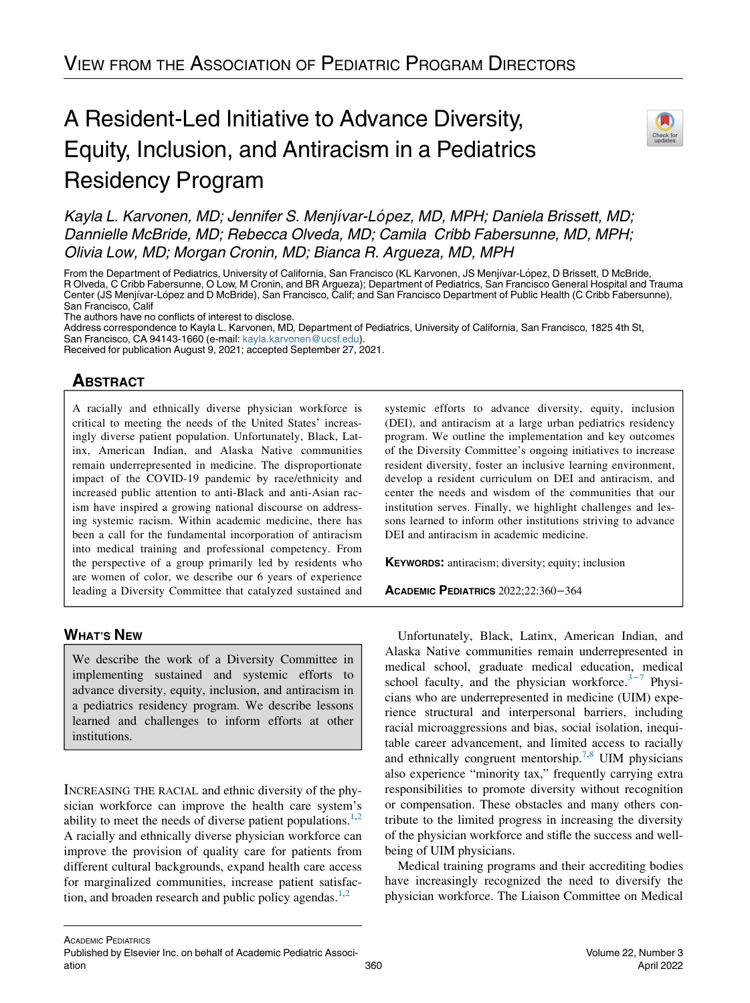# A Resident-Led Initiative to Advance Diversity, Equity, Inclusion, and Antiracism in a Pediatrics Residency Program



Kayla L. Karvonen, MD; Jennifer S. Menjívar-López, MD, MPH; Daniela Brissett, MD; Dannielle McBride, MD; Rebecca Olveda, MD; Camila Cribb Fabersunne, MD, MPH; Olivia Low, MD; Morgan Cronin, MD; Bianca R. Argueza, MD, MPH

From the Department of Pediatrics, University of California, San Francisco (KL Karvonen, JS Menjívar-López, D Brissett, D McBride, R Olveda, C Cribb Fabersunne, O Low, M Cronin, and BR Argueza); Department of Pediatrics, San Francisco General Hospital and Trauma Center (JS Menjıvar-Lopez and D McBride), San Francisco, Calif; and San Francisco Department of Public Health (C Cribb Fabersunne), San Francisco, Calif

The authors have no conflicts of interest to disclose.

Address correspondence to Kayla L. Karvonen, MD, Department of Pediatrics, University of California, San Francisco, 1825 4th St, San Francisco, CA 94143-1660 (e-mail: [kayla.karvonen@ucsf.edu](mailto:kayla.karvonen@ucsf.edu)).

Received for publication August 9, 2021; accepted September 27, 2021.

# **ABSTRACT**

A racially and ethnically diverse physician workforce is critical to meeting the needs of the United States' increasingly diverse patient population. Unfortunately, Black, Latinx, American Indian, and Alaska Native communities remain underrepresented in medicine. The disproportionate impact of the COVID-19 pandemic by race/ethnicity and increased public attention to anti-Black and anti-Asian racism have inspired a growing national discourse on addressing systemic racism. Within academic medicine, there has been a call for the fundamental incorporation of antiracism into medical training and professional competency. From the perspective of a group primarily led by residents who are women of color, we describe our 6 years of experience leading a Diversity Committee that catalyzed sustained and

# WHAT'S NEW

We describe the work of a Diversity Committee in implementing sustained and systemic efforts to advance diversity, equity, inclusion, and antiracism in a pediatrics residency program. We describe lessons learned and challenges to inform efforts at other institutions.

INCREASING THE RACIAL and ethnic diversity of the physician workforce can improve the health care system's ability to meet the needs of diverse patient populations.<sup>[1,](#page-4-0)[2](#page-4-1)</sup> A racially and ethnically diverse physician workforce can improve the provision of quality care for patients from different cultural backgrounds, expand health care access for marginalized communities, increase patient satisfaction, and broaden research and public policy agendas. $1,2$  $1,2$ 

systemic efforts to advance diversity, equity, inclusion (DEI), and antiracism at a large urban pediatrics residency program. We outline the implementation and key outcomes of the Diversity Committee's ongoing initiatives to increase resident diversity, foster an inclusive learning environment, develop a resident curriculum on DEI and antiracism, and center the needs and wisdom of the communities that our institution serves. Finally, we highlight challenges and lessons learned to inform other institutions striving to advance DEI and antiracism in academic medicine.

KEYWORDS: antiracism; diversity; equity; inclusion

ACADEMIC PEDIATRICS 2022;22:360−364

Unfortunately, Black, Latinx, American Indian, and Alaska Native communities remain underrepresented in medical school, graduate medical education, medical school faculty, and the physician workforce. $3-7$  Physicians who are underrepresented in medicine (UIM) experience structural and interpersonal barriers, including racial microaggressions and bias, social isolation, inequitable career advancement, and limited access to racially and ethnically congruent mentorship.<sup>7,[8](#page-4-4)</sup> UIM physicians also experience "minority tax," frequently carrying extra responsibilities to promote diversity without recognition or compensation. These obstacles and many others contribute to the limited progress in increasing the diversity of the physician workforce and stifle the success and wellbeing of UIM physicians.

Medical training programs and their accrediting bodies have increasingly recognized the need to diversify the physician workforce. The Liaison Committee on Medical

Published by Elsevier Inc. on behalf of Academic Pediatric Association 360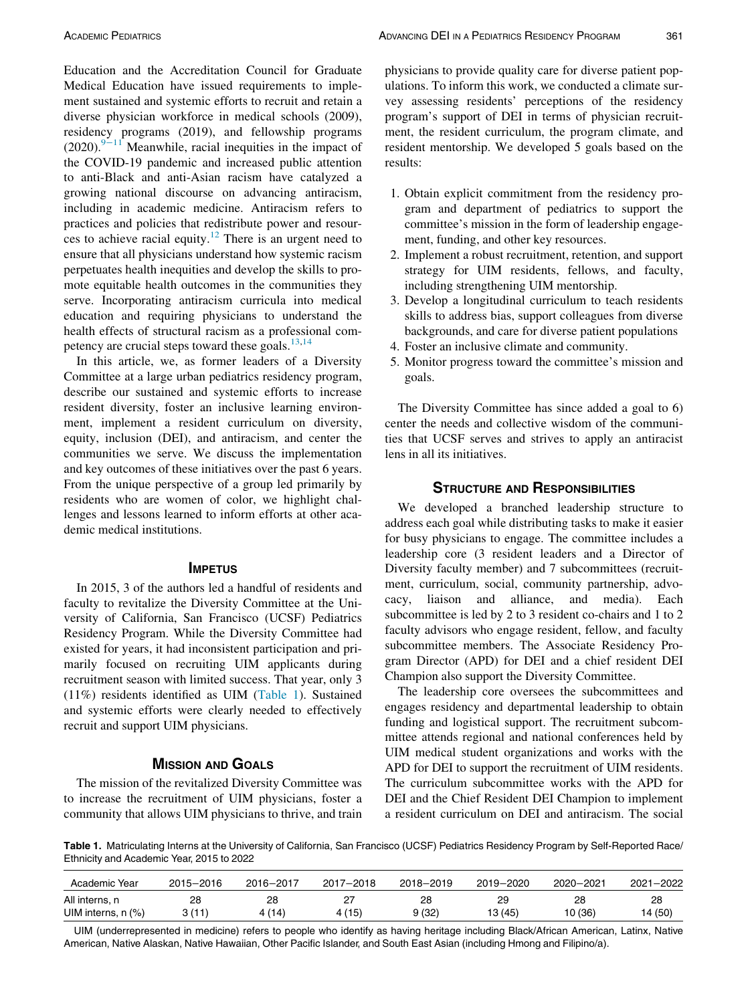Education and the Accreditation Council for Graduate Medical Education have issued requirements to implement sustained and systemic efforts to recruit and retain a diverse physician workforce in medical schools (2009), residency programs (2019), and fellowship programs  $(2020).<sup>9−11</sup>$  $(2020).<sup>9−11</sup>$  $(2020).<sup>9−11</sup>$  Meanwhile, racial inequities in the impact of the COVID-19 pandemic and increased public attention to anti-Black and anti-Asian racism have catalyzed a growing national discourse on advancing antiracism, including in academic medicine. Antiracism refers to practices and policies that redistribute power and resour-ces to achieve racial equity.<sup>[12](#page-4-6)</sup> There is an urgent need to ensure that all physicians understand how systemic racism perpetuates health inequities and develop the skills to promote equitable health outcomes in the communities they serve. Incorporating antiracism curricula into medical education and requiring physicians to understand the health effects of structural racism as a professional competency are crucial steps toward these goals. $13,14$  $13,14$  $13,14$ 

In this article, we, as former leaders of a Diversity Committee at a large urban pediatrics residency program, describe our sustained and systemic efforts to increase resident diversity, foster an inclusive learning environment, implement a resident curriculum on diversity, equity, inclusion (DEI), and antiracism, and center the communities we serve. We discuss the implementation and key outcomes of these initiatives over the past 6 years. From the unique perspective of a group led primarily by residents who are women of color, we highlight challenges and lessons learned to inform efforts at other academic medical institutions.

#### **IMPETUS**

In 2015, 3 of the authors led a handful of residents and faculty to revitalize the Diversity Committee at the University of California, San Francisco (UCSF) Pediatrics Residency Program. While the Diversity Committee had existed for years, it had inconsistent participation and primarily focused on recruiting UIM applicants during recruitment season with limited success. That year, only 3 (11%) residents identified as UIM [\(Table 1](#page-1-0)). Sustained and systemic efforts were clearly needed to effectively recruit and support UIM physicians.

#### MISSION AND GOALS

The mission of the revitalized Diversity Committee was to increase the recruitment of UIM physicians, foster a community that allows UIM physicians to thrive, and train physicians to provide quality care for diverse patient populations. To inform this work, we conducted a climate survey assessing residents' perceptions of the residency program's support of DEI in terms of physician recruitment, the resident curriculum, the program climate, and resident mentorship. We developed 5 goals based on the results:

- 1. Obtain explicit commitment from the residency program and department of pediatrics to support the committee's mission in the form of leadership engagement, funding, and other key resources.
- 2. Implement a robust recruitment, retention, and support strategy for UIM residents, fellows, and faculty, including strengthening UIM mentorship.
- 3. Develop a longitudinal curriculum to teach residents skills to address bias, support colleagues from diverse backgrounds, and care for diverse patient populations
- 4. Foster an inclusive climate and community.
- 5. Monitor progress toward the committee's mission and goals.

The Diversity Committee has since added a goal to 6) center the needs and collective wisdom of the communities that UCSF serves and strives to apply an antiracist lens in all its initiatives.

### STRUCTURE AND RESPONSIBILITIES

We developed a branched leadership structure to address each goal while distributing tasks to make it easier for busy physicians to engage. The committee includes a leadership core (3 resident leaders and a Director of Diversity faculty member) and 7 subcommittees (recruitment, curriculum, social, community partnership, advocacy, liaison and alliance, and media). Each subcommittee is led by 2 to 3 resident co-chairs and 1 to 2 faculty advisors who engage resident, fellow, and faculty subcommittee members. The Associate Residency Program Director (APD) for DEI and a chief resident DEI Champion also support the Diversity Committee.

The leadership core oversees the subcommittees and engages residency and departmental leadership to obtain funding and logistical support. The recruitment subcommittee attends regional and national conferences held by UIM medical student organizations and works with the APD for DEI to support the recruitment of UIM residents. The curriculum subcommittee works with the APD for DEI and the Chief Resident DEI Champion to implement a resident curriculum on DEI and antiracism. The social

<span id="page-1-0"></span>Table 1. Matriculating Interns at the University of California, San Francisco (UCSF) Pediatrics Residency Program by Self-Reported Race/ Ethnicity and Academic Year, 2015 to 2022

| Academic Year           | 2015-2016 | 2016-2017 | $2017 - 2018$ | 2018-2019 | 2019-2020 | 2020-2021 | $2021 - 2022$ |
|-------------------------|-----------|-----------|---------------|-----------|-----------|-----------|---------------|
| All interns, n          | 28        | 28        | 27            | 28        | 29        | 28        | 28            |
| UIM interns, $n$ $(\%)$ | 3(11)     | (14)      | 4 (15)        | 9 (32)    | 13 (45)   | 10 (36)   | 14 (50)       |

UIM (underrepresented in medicine) refers to people who identify as having heritage including Black/African American, Latinx, Native American, Native Alaskan, Native Hawaiian, Other Pacific Islander, and South East Asian (including Hmong and Filipino/a).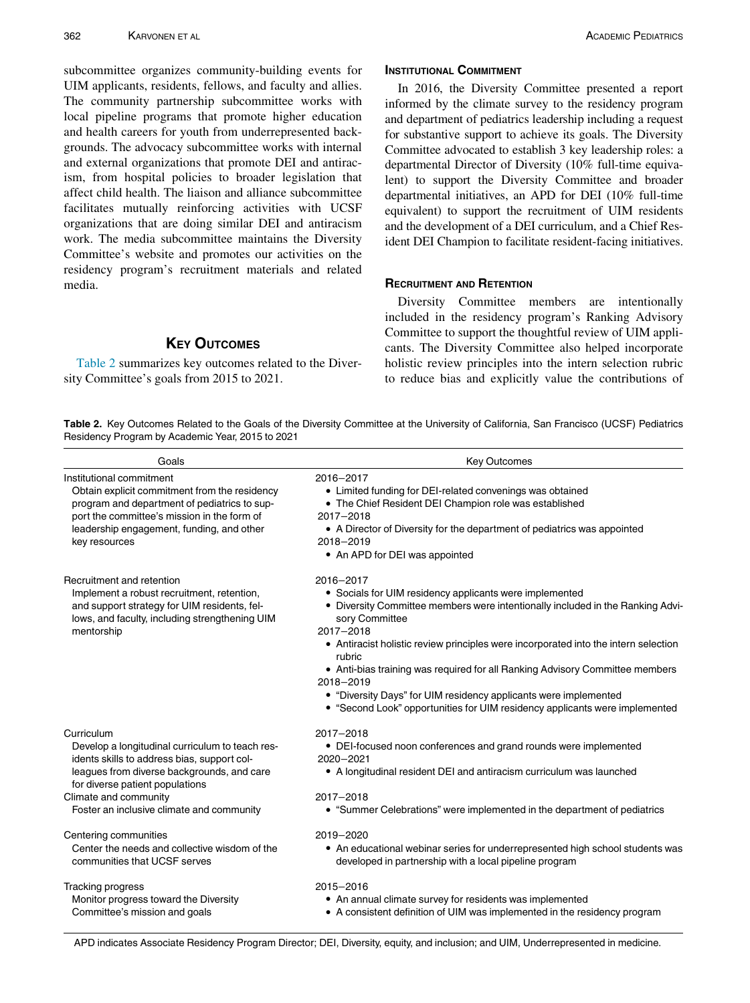subcommittee organizes community-building events for UIM applicants, residents, fellows, and faculty and allies. The community partnership subcommittee works with local pipeline programs that promote higher education and health careers for youth from underrepresented backgrounds. The advocacy subcommittee works with internal and external organizations that promote DEI and antiracism, from hospital policies to broader legislation that affect child health. The liaison and alliance subcommittee facilitates mutually reinforcing activities with UCSF organizations that are doing similar DEI and antiracism work. The media subcommittee maintains the Diversity Committee's website and promotes our activities on the residency program's recruitment materials and related media.

# **KEY OUTCOMES**

[Table 2](#page-2-0) summarizes key outcomes related to the Diversity Committee's goals from 2015 to 2021.

## INSTITUTIONAL COMMITMENT

In 2016, the Diversity Committee presented a report informed by the climate survey to the residency program and department of pediatrics leadership including a request for substantive support to achieve its goals. The Diversity Committee advocated to establish 3 key leadership roles: a departmental Director of Diversity (10% full-time equivalent) to support the Diversity Committee and broader departmental initiatives, an APD for DEI (10% full-time equivalent) to support the recruitment of UIM residents and the development of a DEI curriculum, and a Chief Resident DEI Champion to facilitate resident-facing initiatives.

#### RECRUITMENT AND RETENTION

Diversity Committee members are intentionally included in the residency program's Ranking Advisory Committee to support the thoughtful review of UIM applicants. The Diversity Committee also helped incorporate holistic review principles into the intern selection rubric to reduce bias and explicitly value the contributions of

<span id="page-2-0"></span>Table 2. Key Outcomes Related to the Goals of the Diversity Committee at the University of California, San Francisco (UCSF) Pediatrics Residency Program by Academic Year, 2015 to 2021

| Goals                                                                                                                                                                                                                                                               | <b>Key Outcomes</b>                                                                                                                                                                                                                                                                                                                                                                                                                                                                                                                  |  |  |  |
|---------------------------------------------------------------------------------------------------------------------------------------------------------------------------------------------------------------------------------------------------------------------|--------------------------------------------------------------------------------------------------------------------------------------------------------------------------------------------------------------------------------------------------------------------------------------------------------------------------------------------------------------------------------------------------------------------------------------------------------------------------------------------------------------------------------------|--|--|--|
| Institutional commitment<br>Obtain explicit commitment from the residency<br>program and department of pediatrics to sup-<br>port the committee's mission in the form of<br>leadership engagement, funding, and other<br>key resources                              | 2016-2017<br>• Limited funding for DEI-related convenings was obtained<br>• The Chief Resident DEI Champion role was established<br>2017-2018<br>• A Director of Diversity for the department of pediatrics was appointed<br>2018-2019<br>• An APD for DEI was appointed                                                                                                                                                                                                                                                             |  |  |  |
| Recruitment and retention<br>Implement a robust recruitment, retention,<br>and support strategy for UIM residents, fel-<br>lows, and faculty, including strengthening UIM<br>mentorship                                                                             | 2016-2017<br>• Socials for UIM residency applicants were implemented<br>Diversity Committee members were intentionally included in the Ranking Advi-<br>sory Committee<br>2017-2018<br>• Antiracist holistic review principles were incorporated into the intern selection<br>rubric<br>• Anti-bias training was required for all Ranking Advisory Committee members<br>2018-2019<br>• "Diversity Days" for UIM residency applicants were implemented<br>• "Second Look" opportunities for UIM residency applicants were implemented |  |  |  |
| Curriculum<br>Develop a longitudinal curriculum to teach res-<br>idents skills to address bias, support col-<br>leagues from diverse backgrounds, and care<br>for diverse patient populations<br>Climate and community<br>Foster an inclusive climate and community | 2017-2018<br>• DEI-focused noon conferences and grand rounds were implemented<br>2020-2021<br>• A longitudinal resident DEI and antiracism curriculum was launched<br>2017-2018<br>• "Summer Celebrations" were implemented in the department of pediatrics                                                                                                                                                                                                                                                                          |  |  |  |
| Centering communities<br>Center the needs and collective wisdom of the<br>communities that UCSF serves                                                                                                                                                              | 2019-2020<br>• An educational webinar series for underrepresented high school students was<br>developed in partnership with a local pipeline program                                                                                                                                                                                                                                                                                                                                                                                 |  |  |  |
| Tracking progress<br>Monitor progress toward the Diversity<br>Committee's mission and goals                                                                                                                                                                         | 2015-2016<br>• An annual climate survey for residents was implemented<br>• A consistent definition of UIM was implemented in the residency program<br>APD indicates Associate Residency Program Director; DEI, Diversity, equity, and inclusion; and UIM, Underrepresented in medicine.                                                                                                                                                                                                                                              |  |  |  |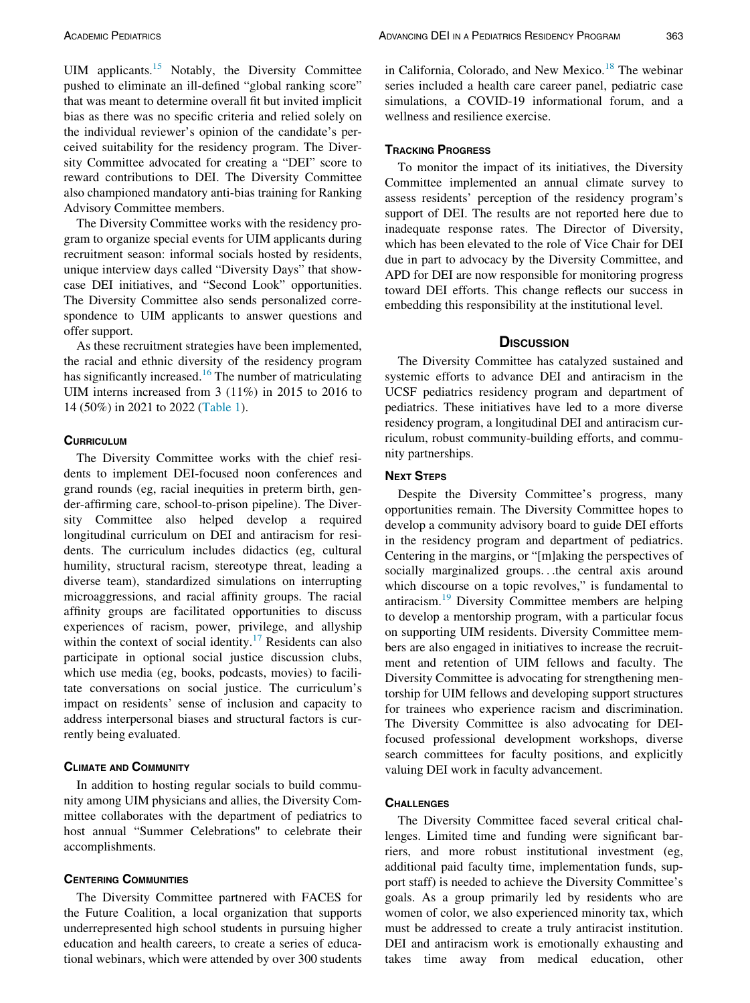UIM applicants.[15](#page-4-9) Notably, the Diversity Committee pushed to eliminate an ill-defined "global ranking score" that was meant to determine overall fit but invited implicit bias as there was no specific criteria and relied solely on the individual reviewer's opinion of the candidate's perceived suitability for the residency program. The Diversity Committee advocated for creating a "DEI" score to reward contributions to DEI. The Diversity Committee also championed mandatory anti-bias training for Ranking Advisory Committee members.

The Diversity Committee works with the residency program to organize special events for UIM applicants during recruitment season: informal socials hosted by residents, unique interview days called "Diversity Days" that showcase DEI initiatives, and "Second Look" opportunities. The Diversity Committee also sends personalized correspondence to UIM applicants to answer questions and offer support.

As these recruitment strategies have been implemented, the racial and ethnic diversity of the residency program has significantly increased.<sup>[16](#page-4-10)</sup> The number of matriculating UIM interns increased from 3 (11%) in 2015 to 2016 to 14 (50%) in 2021 to 2022 ([Table 1\)](#page-1-0).

#### **CURRICULUM**

The Diversity Committee works with the chief residents to implement DEI-focused noon conferences and grand rounds (eg, racial inequities in preterm birth, gender-affirming care, school-to-prison pipeline). The Diversity Committee also helped develop a required longitudinal curriculum on DEI and antiracism for residents. The curriculum includes didactics (eg, cultural humility, structural racism, stereotype threat, leading a diverse team), standardized simulations on interrupting microaggressions, and racial affinity groups. The racial affinity groups are facilitated opportunities to discuss experiences of racism, power, privilege, and allyship within the context of social identity.<sup>[17](#page-4-11)</sup> Residents can also participate in optional social justice discussion clubs, which use media (eg, books, podcasts, movies) to facilitate conversations on social justice. The curriculum's impact on residents' sense of inclusion and capacity to address interpersonal biases and structural factors is currently being evaluated.

#### CLIMATE AND COMMUNITY

In addition to hosting regular socials to build community among UIM physicians and allies, the Diversity Committee collaborates with the department of pediatrics to host annual "Summer Celebrations'' to celebrate their accomplishments.

#### CENTERING COMMUNITIES

The Diversity Committee partnered with FACES for the Future Coalition, a local organization that supports underrepresented high school students in pursuing higher education and health careers, to create a series of educational webinars, which were attended by over 300 students in California, Colorado, and New Mexico.<sup>[18](#page-4-12)</sup> The webinar series included a health care career panel, pediatric case simulations, a COVID-19 informational forum, and a wellness and resilience exercise.

# TRACKING PROGRESS

To monitor the impact of its initiatives, the Diversity Committee implemented an annual climate survey to assess residents' perception of the residency program's support of DEI. The results are not reported here due to inadequate response rates. The Director of Diversity, which has been elevated to the role of Vice Chair for DEI due in part to advocacy by the Diversity Committee, and APD for DEI are now responsible for monitoring progress toward DEI efforts. This change reflects our success in embedding this responsibility at the institutional level.

## **DISCUSSION**

The Diversity Committee has catalyzed sustained and systemic efforts to advance DEI and antiracism in the UCSF pediatrics residency program and department of pediatrics. These initiatives have led to a more diverse residency program, a longitudinal DEI and antiracism curriculum, robust community-building efforts, and community partnerships.

# **NEXT STEPS**

Despite the Diversity Committee's progress, many opportunities remain. The Diversity Committee hopes to develop a community advisory board to guide DEI efforts in the residency program and department of pediatrics. Centering in the margins, or "[m]aking the perspectives of socially marginalized groups...the central axis around which discourse on a topic revolves," is fundamental to antiracism.<sup>[19](#page-4-13)</sup> Diversity Committee members are helping to develop a mentorship program, with a particular focus on supporting UIM residents. Diversity Committee members are also engaged in initiatives to increase the recruitment and retention of UIM fellows and faculty. The Diversity Committee is advocating for strengthening mentorship for UIM fellows and developing support structures for trainees who experience racism and discrimination. The Diversity Committee is also advocating for DEIfocused professional development workshops, diverse search committees for faculty positions, and explicitly valuing DEI work in faculty advancement.

#### **CHALLENGES**

The Diversity Committee faced several critical challenges. Limited time and funding were significant barriers, and more robust institutional investment (eg, additional paid faculty time, implementation funds, support staff) is needed to achieve the Diversity Committee's goals. As a group primarily led by residents who are women of color, we also experienced minority tax, which must be addressed to create a truly antiracist institution. DEI and antiracism work is emotionally exhausting and takes time away from medical education, other